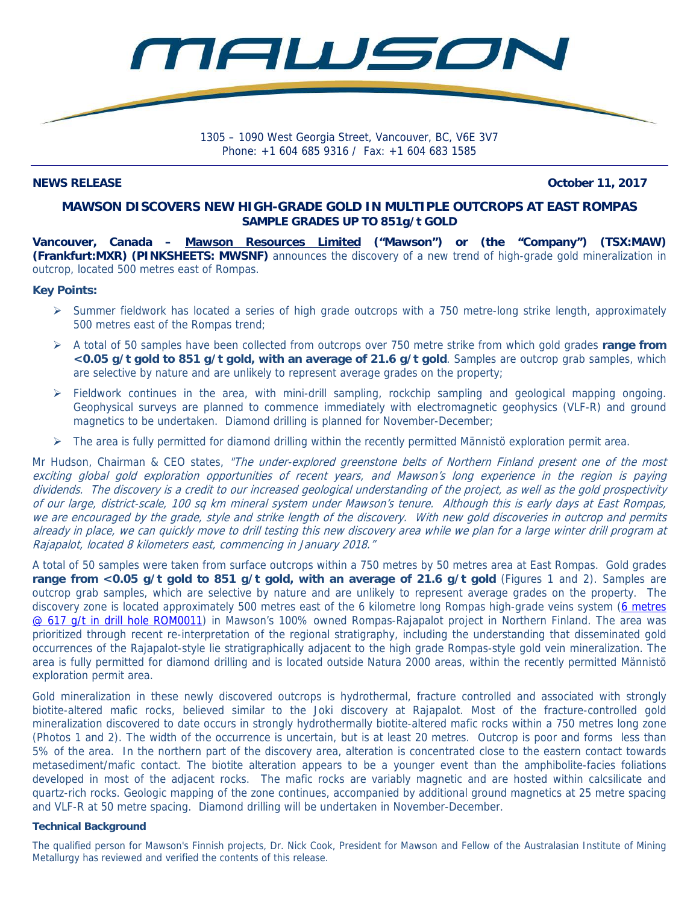

Phone: +1 604 685 9316 / Fax: +1 604 683 1585

**NEWS RELEASE October 11, 2017** 

# **MAWSON DISCOVERS NEW HIGH-GRADE GOLD IN MULTIPLE OUTCROPS AT EAST ROMPAS SAMPLE GRADES UP TO 851g/t GOLD**

**Vancouver, Canada – Mawson Resources Limited ("Mawson") or (the "Company") (TSX:MAW) (Frankfurt:MXR) (PINKSHEETS: MWSNF)** announces the discovery of a new trend of high-grade gold mineralization in outcrop, located 500 metres east of Rompas.

## **Key Points:**

- $\triangleright$  Summer fieldwork has located a series of high grade outcrops with a 750 metre-long strike length, approximately 500 metres east of the Rompas trend;
- A total of 50 samples have been collected from outcrops over 750 metre strike from which gold grades **range from <0.05 g/t gold to 851 g/t gold, with an average of 21.6 g/t gold**. Samples are outcrop grab samples, which are selective by nature and are unlikely to represent average grades on the property;
- $\triangleright$  Fieldwork continues in the area, with mini-drill sampling, rockchip sampling and geological mapping ongoing. Geophysical surveys are planned to commence immediately with electromagnetic geophysics (VLF-R) and ground magnetics to be undertaken. Diamond drilling is planned for November-December;
- $\triangleright$  The area is fully permitted for diamond drilling within the recently permitted Männistö exploration permit area.

Mr Hudson, Chairman & CEO states, "The under-explored greenstone belts of Northern Finland present one of the most exciting global gold exploration opportunities of recent years, and Mawson's long experience in the region is paying dividends. The discovery is a credit to our increased geological understanding of the project, as well as the gold prospectivity of our large, district-scale, 100 sq km mineral system under Mawson's tenure. Although this is early days at East Rompas, we are encouraged by the grade, style and strike length of the discovery. With new gold discoveries in outcrop and permits already in place, we can quickly move to drill testing this new discovery area while we plan for a large winter drill program at Rajapalot, located 8 kilometers east, commencing in January 2018."

A total of 50 samples were taken from surface outcrops within a 750 metres by 50 metres area at East Rompas. Gold grades **range from <0.05 g/t gold to 851 g/t gold, with an average of 21.6 g/t gold** (Figures 1 and 2). Samples are outcrop grab samples, which are selective by nature and are unlikely to represent average grades on the property. The discovery zone is located approximately 500 metres east of the 6 kilometre long Rompas high-grade veins system (6 metres @ 617 g/t in drill hole ROM0011) in Mawson's 100% owned Rompas-Rajapalot project in Northern Finland. The area was prioritized through recent re-interpretation of the regional stratigraphy, including the understanding that disseminated gold occurrences of the Rajapalot-style lie stratigraphically adjacent to the high grade Rompas-style gold vein mineralization. The area is fully permitted for diamond drilling and is located outside Natura 2000 areas, within the recently permitted Männistö exploration permit area.

Gold mineralization in these newly discovered outcrops is hydrothermal, fracture controlled and associated with strongly biotite-altered mafic rocks, believed similar to the Joki discovery at Rajapalot. Most of the fracture-controlled gold mineralization discovered to date occurs in strongly hydrothermally biotite-altered mafic rocks within a 750 metres long zone (Photos 1 and 2). The width of the occurrence is uncertain, but is at least 20 metres. Outcrop is poor and forms less than 5% of the area. In the northern part of the discovery area, alteration is concentrated close to the eastern contact towards metasediment/mafic contact. The biotite alteration appears to be a younger event than the amphibolite-facies foliations developed in most of the adjacent rocks. The mafic rocks are variably magnetic and are hosted within calcsilicate and quartz-rich rocks. Geologic mapping of the zone continues, accompanied by additional ground magnetics at 25 metre spacing and VLF-R at 50 metre spacing. Diamond drilling will be undertaken in November-December.

## **Technical Background**

The qualified person for Mawson's Finnish projects, Dr. Nick Cook, President for Mawson and Fellow of the Australasian Institute of Mining Metallurgy has reviewed and verified the contents of this release.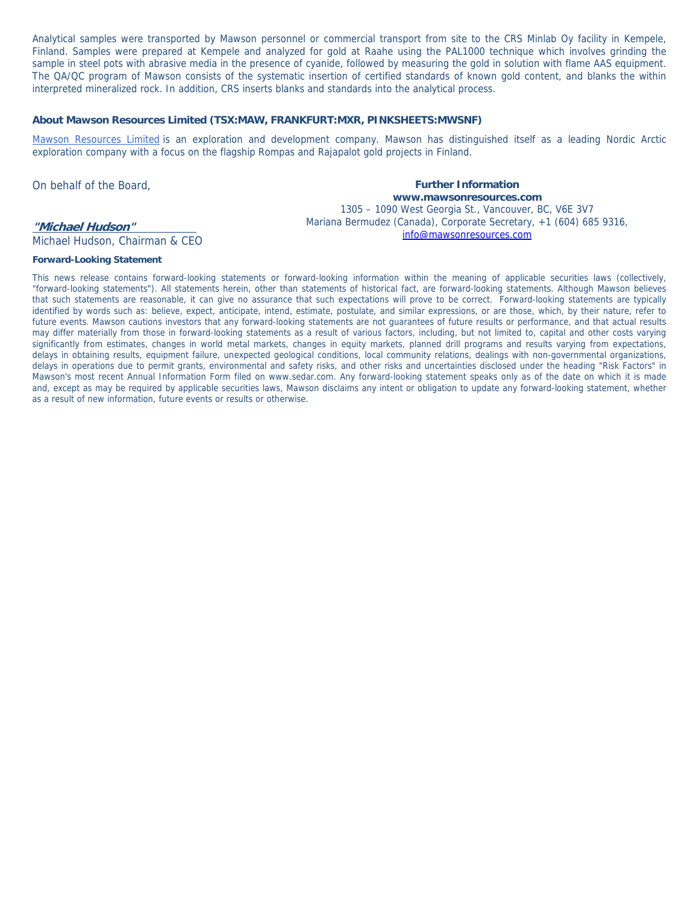Analytical samples were transported by Mawson personnel or commercial transport from site to the CRS Minlab Oy facility in Kempele, Finland. Samples were prepared at Kempele and analyzed for gold at Raahe using the PAL1000 technique which involves grinding the sample in steel pots with abrasive media in the presence of cyanide, followed by measuring the gold in solution with flame AAS equipment. The QA/QC program of Mawson consists of the systematic insertion of certified standards of known gold content, and blanks the within interpreted mineralized rock. In addition, CRS inserts blanks and standards into the analytical process.

### **About Mawson Resources Limited (TSX:MAW, FRANKFURT:MXR, PINKSHEETS:MWSNF)**

Mawson Resources Limited is an exploration and development company. Mawson has distinguished itself as a leading Nordic Arctic exploration company with a focus on the flagship Rompas and Rajapalot gold projects in Finland.

On behalf of the Board,

# **"Michael Hudson"**

Michael Hudson, Chairman & CEO

**Further Information www.mawsonresources.com**  1305 – 1090 West Georgia St., Vancouver, BC, V6E 3V7 Mariana Bermudez (Canada), Corporate Secretary, +1 (604) 685 9316, info@mawsonresources.com

#### **Forward-Looking Statement**

This news release contains forward-looking statements or forward-looking information within the meaning of applicable securities laws (collectively, "forward-looking statements"). All statements herein, other than statements of historical fact, are forward-looking statements. Although Mawson believes that such statements are reasonable, it can give no assurance that such expectations will prove to be correct. Forward-looking statements are typically identified by words such as: believe, expect, anticipate, intend, estimate, postulate, and similar expressions, or are those, which, by their nature, refer to future events. Mawson cautions investors that any forward-looking statements are not guarantees of future results or performance, and that actual results may differ materially from those in forward-looking statements as a result of various factors, including, but not limited to, capital and other costs varying significantly from estimates, changes in world metal markets, changes in equity markets, planned drill programs and results varying from expectations, delays in obtaining results, equipment failure, unexpected geological conditions, local community relations, dealings with non-governmental organizations, delays in operations due to permit grants, environmental and safety risks, and other risks and uncertainties disclosed under the heading "Risk Factors" in Mawson's most recent Annual Information Form filed on www.sedar.com. Any forward-looking statement speaks only as of the date on which it is made and, except as may be required by applicable securities laws, Mawson disclaims any intent or obligation to update any forward-looking statement, whether as a result of new information, future events or results or otherwise.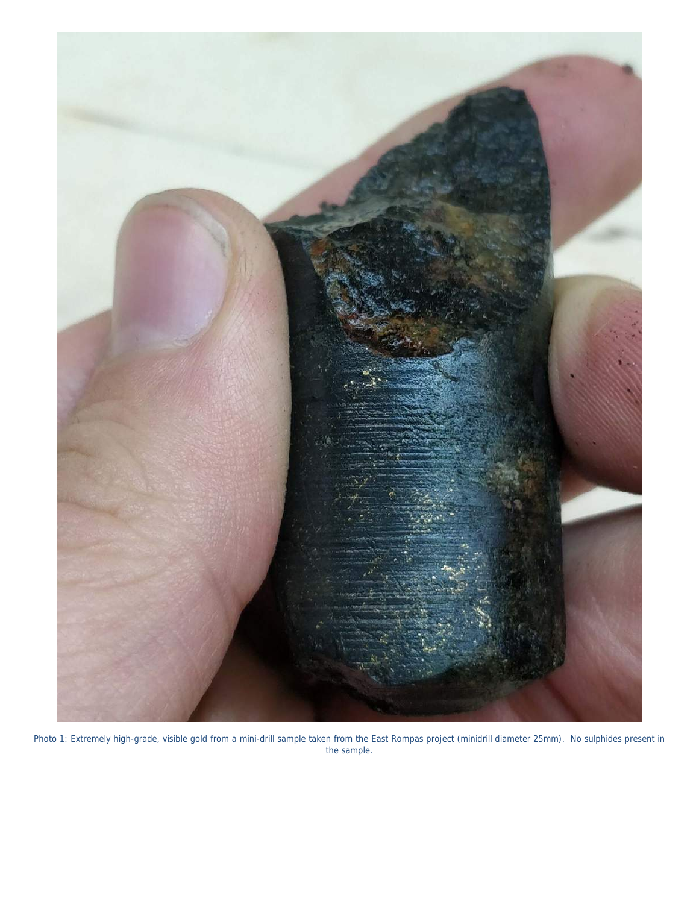

Photo 1: Extremely high-grade, visible gold from a mini-drill sample taken from the East Rompas project (minidrill diameter 25mm). No sulphides present in the sample.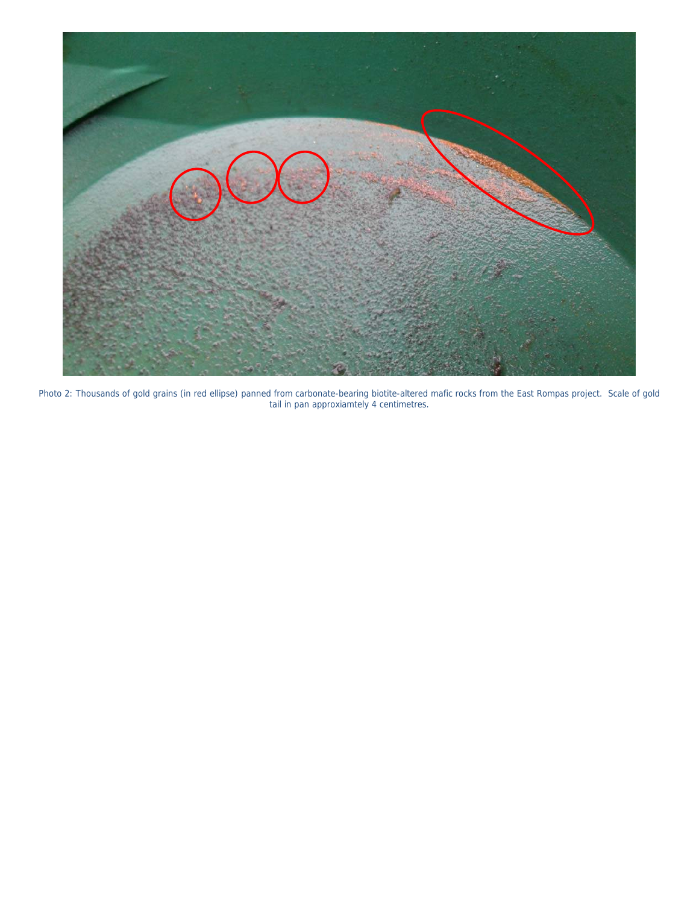

Photo 2: Thousands of gold grains (in red ellipse) panned from carbonate-bearing biotite-altered mafic rocks from the East Rompas project. Scale of gold tail in pan approxiamtely 4 centimetres.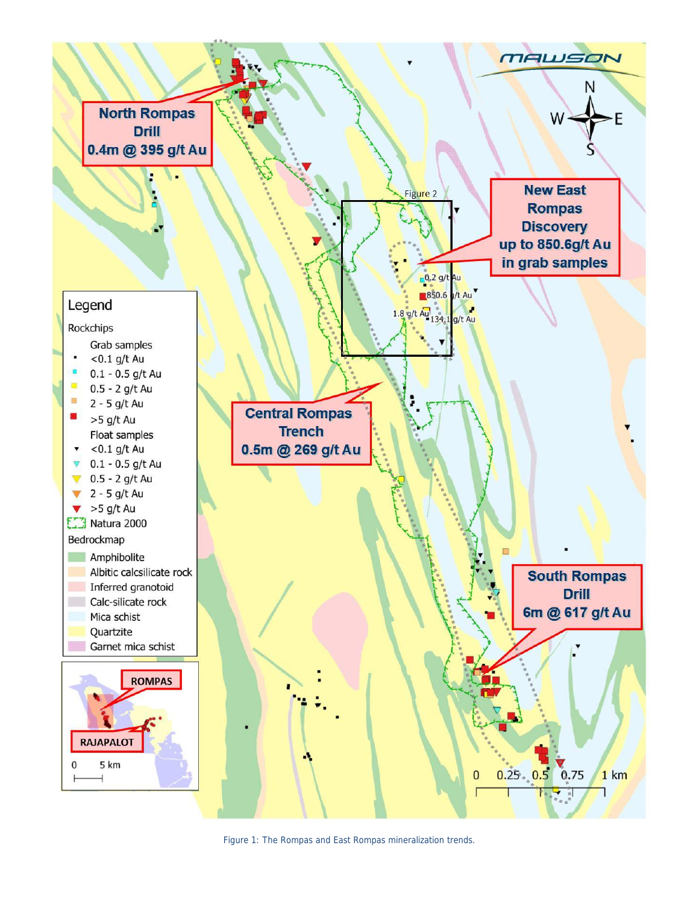

Figure 1: The Rompas and East Rompas mineralization trends.